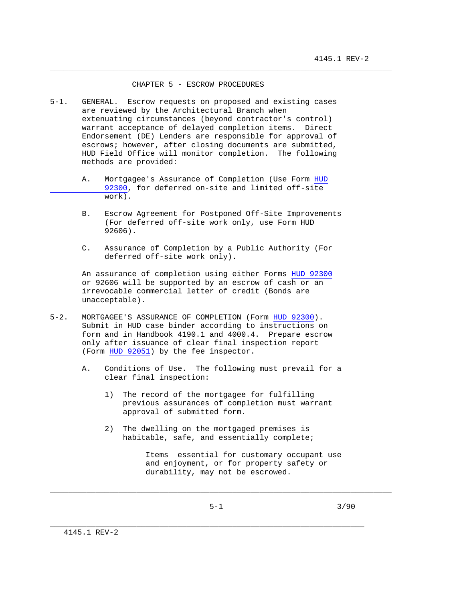## CHAPTER 5 - ESCROW PROCEDURES

\_\_\_\_\_\_\_\_\_\_\_\_\_\_\_\_\_\_\_\_\_\_\_\_\_\_\_\_\_\_\_\_\_\_\_\_\_\_\_\_\_\_\_\_\_\_\_\_\_\_\_\_\_\_\_\_\_\_\_\_\_\_\_\_\_\_\_\_\_\_\_\_\_\_\_

- 5-1. GENERAL. Escrow requests on proposed and existing cases are reviewed by the Architectural Branch when extenuating circumstances (beyond contractor's control) warrant acceptance of delayed completion items. Direct Endorsement (DE) Lenders are responsible for approval of escrows; however, after closing documents are submitted, HUD Field Office will monitor completion. The following methods are provided:
	- A. Mortgagee's Assurance of Completion (Use Form HUD 92300, for deferred on-site and limited off-site work).
	- B. Escrow Agreement for Postponed Off-Site Improvements (For deferred off-site work only, use Form HUD 92606).
	- C. Assurance of Completion by a Public Authority (For deferred off-site work only).

 An assurance of completion using either Forms HUD 92300 or 92606 will be supported by an escrow of cash or an irrevocable commercial letter of credit (Bonds are unacceptable).

- 5-2. MORTGAGEE'S ASSURANCE OF COMPLETION (Form HUD 92300). Submit in HUD case binder according to instructions on form and in Handbook 4190.1 and 4000.4. Prepare escrow only after issuance of clear final inspection report (Form HUD 92051) by the fee inspector.
	- A. Conditions of Use. The following must prevail for a clear final inspection:
		- 1) The record of the mortgagee for fulfilling previous assurances of completion must warrant approval of submitted form.
		- 2) The dwelling on the mortgaged premises is habitable, safe, and essentially complete;

 Items essential for customary occupant use and enjoyment, or for property safety or durability, may not be escrowed.

\_\_\_\_\_\_\_\_\_\_\_\_\_\_\_\_\_\_\_\_\_\_\_\_\_\_\_\_\_\_\_\_\_\_\_\_\_\_\_\_\_\_\_\_\_\_\_\_\_\_\_\_\_\_\_\_\_\_\_\_\_\_\_\_\_\_\_\_\_

\_\_\_\_\_\_\_\_\_\_\_\_\_\_\_\_\_\_\_\_\_\_\_\_\_\_\_\_\_\_\_\_\_\_\_\_\_\_\_\_\_\_\_\_\_\_\_\_\_\_\_\_\_\_\_\_\_\_\_\_\_\_\_\_\_\_\_\_\_\_\_\_\_\_\_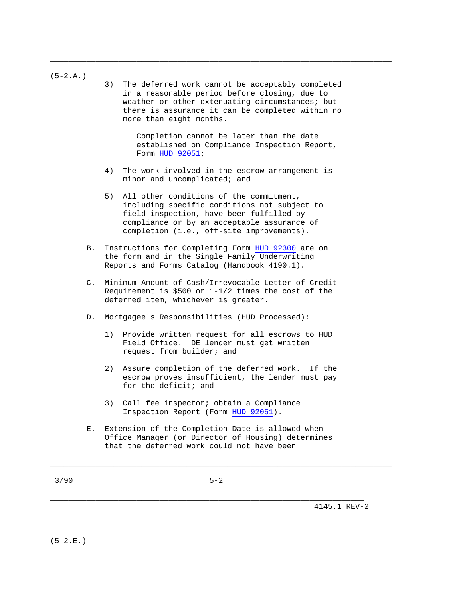| 3/90       |       | $5 - 2$                                                                                                                                                                                                                                   |
|------------|-------|-------------------------------------------------------------------------------------------------------------------------------------------------------------------------------------------------------------------------------------------|
|            | Е.    | Extension of the Completion Date is allowed when<br>Office Manager (or Director of Housing) determines<br>that the deferred work could not have been                                                                                      |
|            |       | Call fee inspector; obtain a Compliance<br>3)<br>Inspection Report (Form HUD 92051).                                                                                                                                                      |
|            |       | Assure completion of the deferred work. If the<br>2)<br>escrow proves insufficient, the lender must pay<br>for the deficit; and                                                                                                           |
|            |       | Provide written request for all escrows to HUD<br>1)<br>Field Office. DE lender must get written<br>request from builder; and                                                                                                             |
|            | D.    | Mortgagee's Responsibilities (HUD Processed):                                                                                                                                                                                             |
|            | $C$ . | Minimum Amount of Cash/Irrevocable Letter of Credit<br>Requirement is \$500 or $1-1/2$ times the cost of the<br>deferred item, whichever is greater.                                                                                      |
|            | В.    | Instructions for Completing Form HUD 92300 are on<br>the form and in the Single Family Underwriting<br>Reports and Forms Catalog (Handbook 4190.1).                                                                                       |
|            |       | All other conditions of the commitment,<br>5)<br>including specific conditions not subject to<br>field inspection, have been fulfilled by<br>compliance or by an acceptable assurance of<br>completion (i.e., off-site improvements).     |
|            |       | 4)<br>The work involved in the escrow arrangement is<br>minor and uncomplicated; and                                                                                                                                                      |
|            |       | Completion cannot be later than the date<br>established on Compliance Inspection Report,<br>Form HUD 92051;                                                                                                                               |
| $(5-2.A.)$ |       | 3)<br>The deferred work cannot be acceptably completed<br>in a reasonable period before closing, due to<br>weather or other extenuating circumstances; but<br>there is assurance it can be completed within no<br>more than eight months. |

\_\_\_\_\_\_\_\_\_\_\_\_\_\_\_\_\_\_\_\_\_\_\_\_\_\_\_\_\_\_\_\_\_\_\_\_\_\_\_\_\_\_\_\_\_\_\_\_\_\_\_\_\_\_\_\_\_\_\_\_\_\_\_\_\_\_\_\_\_\_\_\_\_\_\_

\_\_\_\_\_\_\_\_\_\_\_\_\_\_\_\_\_\_\_\_\_\_\_\_\_\_\_\_\_\_\_\_\_\_\_\_\_\_\_\_\_\_\_\_\_\_\_\_\_\_\_\_\_\_\_\_\_\_\_\_\_\_\_\_\_\_\_\_\_\_\_\_\_\_\_

\_\_\_\_\_\_\_\_\_\_\_\_\_\_\_\_\_\_\_\_\_\_\_\_\_\_\_\_\_\_\_\_\_\_\_\_\_\_\_\_\_\_\_\_\_\_\_\_\_\_\_\_\_\_\_\_\_\_\_\_\_\_\_\_\_\_\_\_\_ 4145.1 REV-2

 $(5-2.E.$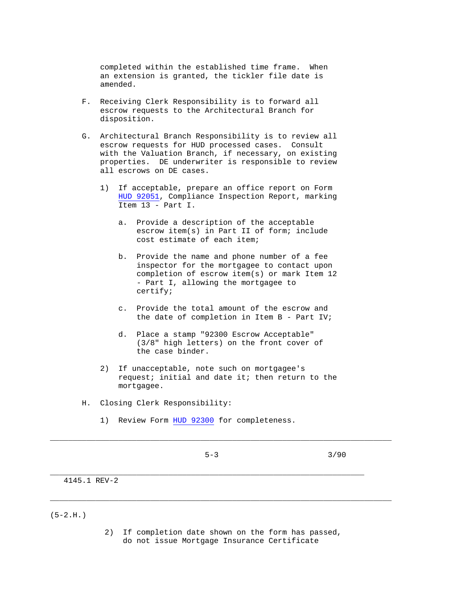completed within the established time frame. When an extension is granted, the tickler file date is amended.

- F. Receiving Clerk Responsibility is to forward all escrow requests to the Architectural Branch for disposition.
- G. Architectural Branch Responsibility is to review all escrow requests for HUD processed cases. Consult with the Valuation Branch, if necessary, on existing properties. DE underwriter is responsible to review all escrows on DE cases.
	- 1) If acceptable, prepare an office report on Form HUD 92051, Compliance Inspection Report, marking Item 13 - Part I.
		- a. Provide a description of the acceptable escrow item(s) in Part II of form; include cost estimate of each item;
		- b. Provide the name and phone number of a fee inspector for the mortgagee to contact upon completion of escrow item(s) or mark Item 12 - Part I, allowing the mortgagee to certify;
		- c. Provide the total amount of the escrow and the date of completion in Item B - Part IV;
		- d. Place a stamp "92300 Escrow Acceptable" (3/8" high letters) on the front cover of the case binder.
	- 2) If unacceptable, note such on mortgagee's request; initial and date it; then return to the mortgagee.
- H. Closing Clerk Responsibility:
	- 1) Review Form HUD 92300 for completeness.

 $5-3$   $3/90$ 

\_\_\_\_\_\_\_\_\_\_\_\_\_\_\_\_\_\_\_\_\_\_\_\_\_\_\_\_\_\_\_\_\_\_\_\_\_\_\_\_\_\_\_\_\_\_\_\_\_\_\_\_\_\_\_\_\_\_\_\_\_\_\_\_\_\_\_\_\_\_\_\_\_\_\_

\_\_\_\_\_\_\_\_\_\_\_\_\_\_\_\_\_\_\_\_\_\_\_\_\_\_\_\_\_\_\_\_\_\_\_\_\_\_\_\_\_\_\_\_\_\_\_\_\_\_\_\_\_\_\_\_\_\_\_\_\_\_\_\_\_\_\_\_\_

4145.1 REV-2

 $(5-2.H.)$ 

 2) If completion date shown on the form has passed, do not issue Mortgage Insurance Certificate

\_\_\_\_\_\_\_\_\_\_\_\_\_\_\_\_\_\_\_\_\_\_\_\_\_\_\_\_\_\_\_\_\_\_\_\_\_\_\_\_\_\_\_\_\_\_\_\_\_\_\_\_\_\_\_\_\_\_\_\_\_\_\_\_\_\_\_\_\_\_\_\_\_\_\_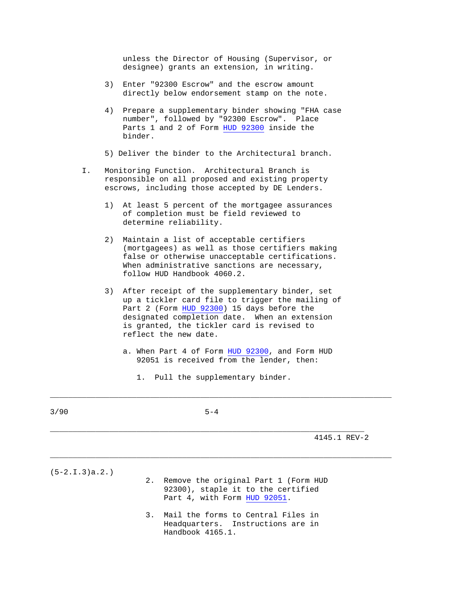unless the Director of Housing (Supervisor, or designee) grants an extension, in writing.

- 3) Enter "92300 Escrow" and the escrow amount directly below endorsement stamp on the note.
- 4) Prepare a supplementary binder showing "FHA case number", followed by "92300 Escrow". Place Parts 1 and 2 of Form HUD 92300 inside the binder.
- 5) Deliver the binder to the Architectural branch.
- I. Monitoring Function. Architectural Branch is responsible on all proposed and existing property escrows, including those accepted by DE Lenders.
	- 1) At least 5 percent of the mortgagee assurances of completion must be field reviewed to determine reliability.
	- 2) Maintain a list of acceptable certifiers (mortgagees) as well as those certifiers making false or otherwise unacceptable certifications. When administrative sanctions are necessary, follow HUD Handbook 4060.2.
	- 3) After receipt of the supplementary binder, set up a tickler card file to trigger the mailing of Part 2 (Form HUD 92300) 15 days before the designated completion date. When an extension is granted, the tickler card is revised to reflect the new date.
		- a. When Part 4 of Form HUD 92300, and Form HUD 92051 is received from the lender, then:

\_\_\_\_\_\_\_\_\_\_\_\_\_\_\_\_\_\_\_\_\_\_\_\_\_\_\_\_\_\_\_\_\_\_\_\_\_\_\_\_\_\_\_\_\_\_\_\_\_\_\_\_\_\_\_\_\_\_\_\_\_\_\_\_\_\_\_\_\_\_\_\_\_\_\_

\_\_\_\_\_\_\_\_\_\_\_\_\_\_\_\_\_\_\_\_\_\_\_\_\_\_\_\_\_\_\_\_\_\_\_\_\_\_\_\_\_\_\_\_\_\_\_\_\_\_\_\_\_\_\_\_\_\_\_\_\_\_\_\_\_\_\_\_\_\_\_\_\_\_\_

1. Pull the supplementary binder.

\_\_\_\_\_\_\_\_\_\_\_\_\_\_\_\_\_\_\_\_\_\_\_\_\_\_\_\_\_\_\_\_\_\_\_\_\_\_\_\_\_\_\_\_\_\_\_\_\_\_\_\_\_\_\_\_\_\_\_\_\_\_\_\_\_\_\_\_\_

4145.1 REV-2

(5-2.I.3)a.2.)

- 2. Remove the original Part 1 (Form HUD 92300), staple it to the certified Part 4, with Form HUD 92051.
- 3. Mail the forms to Central Files in Headquarters. Instructions are in Handbook 4165.1.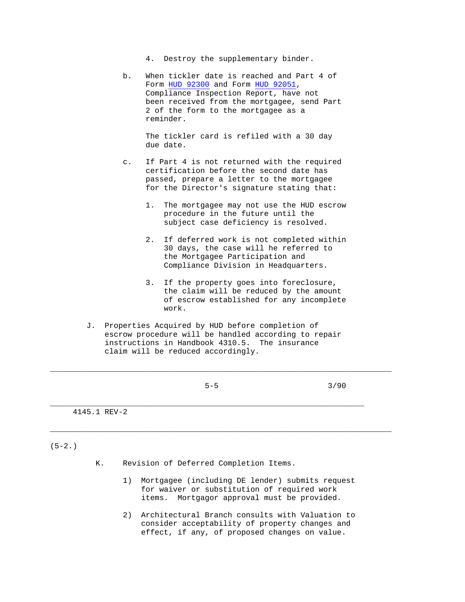4. Destroy the supplementary binder.

 b. When tickler date is reached and Part 4 of Form HUD 92300 and Form HUD 92051, Compliance Inspection Report, have not been received from the mortgagee, send Part 2 of the form to the mortgagee as a reminder.

> The tickler card is refiled with a 30 day due date.

- c. If Part 4 is not returned with the required certification before the second date has passed, prepare a letter to the mortgagee for the Director's signature stating that:
	- 1. The mortgagee may not use the HUD escrow procedure in the future until the subject case deficiency is resolved.
	- 2. If deferred work is not completed within 30 days, the case will he referred to the Mortgagee Participation and Compliance Division in Headquarters.
	- 3. If the property goes into foreclosure, the claim will be reduced by the amount of escrow established for any incomplete work.
- J. Properties Acquired by HUD before completion of escrow procedure will be handled according to repair instructions in Handbook 4310.5. The insurance claim will be reduced accordingly.

\_\_\_\_\_\_\_\_\_\_\_\_\_\_\_\_\_\_\_\_\_\_\_\_\_\_\_\_\_\_\_\_\_\_\_\_\_\_\_\_\_\_\_\_\_\_\_\_\_\_\_\_\_\_\_\_\_\_\_\_\_\_\_\_\_\_\_\_\_

\_\_\_\_\_\_\_\_\_\_\_\_\_\_\_\_\_\_\_\_\_\_\_\_\_\_\_\_\_\_\_\_\_\_\_\_\_\_\_\_\_\_\_\_\_\_\_\_\_\_\_\_\_\_\_\_\_\_\_\_\_\_\_\_\_\_\_\_\_\_\_\_\_\_\_

\_\_\_\_\_\_\_\_\_\_\_\_\_\_\_\_\_\_\_\_\_\_\_\_\_\_\_\_\_\_\_\_\_\_\_\_\_\_\_\_\_\_\_\_\_\_\_\_\_\_\_\_\_\_\_\_\_\_\_\_\_\_\_\_\_\_\_\_\_\_\_\_\_\_\_

 $5-5$  3/90

4145.1 REV-2

 $(5-2.)$ 

- K. Revision of Deferred Completion Items.
	- 1) Mortgagee (including DE lender) submits request for waiver or substitution of required work items. Mortgagor approval must be provided.
	- 2) Architectural Branch consults with Valuation to consider acceptability of property changes and effect, if any, of proposed changes on value.